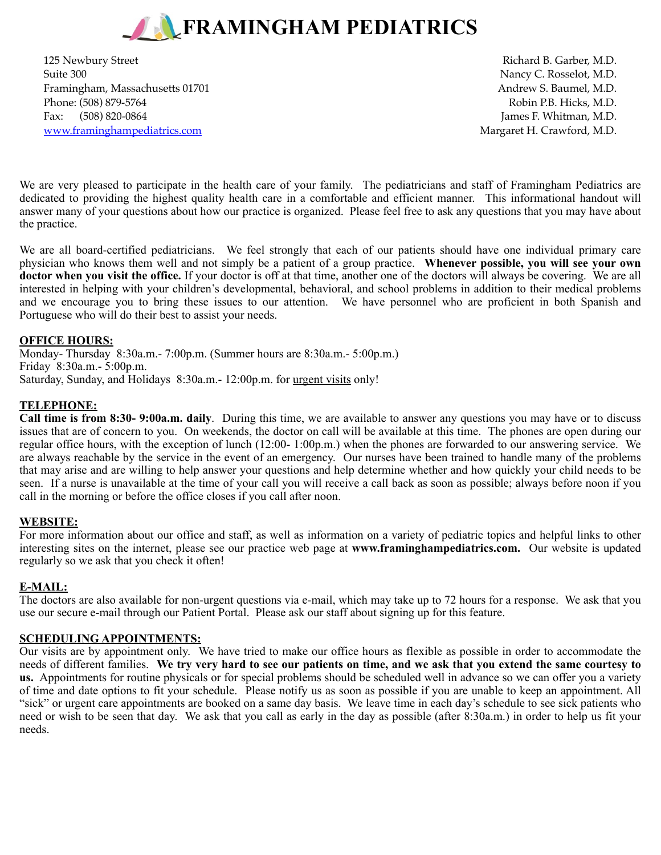

125 Newbury Street **Richard B. Garber, M.D. Richard B. Garber, M.D.** Suite 300 Nancy C. Rosselot, M.D. Framingham, Massachusetts 01701 **Andrew S. Baumel, M.D.** Andrew S. Baumel, M.D. Phone: (508) 879-5764 Robin P.B. Hicks, M.D. Fax: (508) 820-0864 James F. Whitman, M.D. [www.framinghampediatrics.com](http://www.framinghampediatrics.com) and the state of the Margaret H. Crawford, M.D.

We are very pleased to participate in the health care of your family. The pediatricians and staff of Framingham Pediatrics are dedicated to providing the highest quality health care in a comfortable and efficient manner. This informational handout will answer many of your questions about how our practice is organized. Please feel free to ask any questions that you may have about the practice.

We are all board-certified pediatricians. We feel strongly that each of our patients should have one individual primary care physician who knows them well and not simply be a patient of a group practice. **Whenever possible, you will see your own doctor when you visit the office.** If your doctor is off at that time, another one of the doctors will always be covering. We are all interested in helping with your children's developmental, behavioral, and school problems in addition to their medical problems and we encourage you to bring these issues to our attention. We have personnel who are proficient in both Spanish and Portuguese who will do their best to assist your needs.

## **OFFICE HOURS:**

Monday- Thursday 8:30a.m.- 7:00p.m. (Summer hours are 8:30a.m.- 5:00p.m.) Friday 8:30a.m.- 5:00p.m. Saturday, Sunday, and Holidays 8:30a.m.- 12:00p.m. for urgent visits only!

### **TELEPHONE:**

**Call time is from 8:30- 9:00a.m. daily**. During this time, we are available to answer any questions you may have or to discuss issues that are of concern to you. On weekends, the doctor on call will be available at this time. The phones are open during our regular office hours, with the exception of lunch (12:00- 1:00p.m.) when the phones are forwarded to our answering service. We are always reachable by the service in the event of an emergency. Our nurses have been trained to handle many of the problems that may arise and are willing to help answer your questions and help determine whether and how quickly your child needs to be seen. If a nurse is unavailable at the time of your call you will receive a call back as soon as possible; always before noon if you call in the morning or before the office closes if you call after noon.

## **WEBSITE:**

For more information about our office and staff, as well as information on a variety of pediatric topics and helpful links to other interesting sites on the internet, please see our practice web page at **www.framinghampediatrics.com.** Our website is updated regularly so we ask that you check it often!

## **E-MAIL:**

The doctors are also available for non-urgent questions via e-mail, which may take up to 72 hours for a response. We ask that you use our secure e-mail through our Patient Portal. Please ask our staff about signing up for this feature.

#### **SCHEDULING APPOINTMENTS:**

Our visits are by appointment only. We have tried to make our office hours as flexible as possible in order to accommodate the needs of different families. **We try very hard to see our patients on time, and we ask that you extend the same courtesy to us.** Appointments for routine physicals or for special problems should be scheduled well in advance so we can offer you a variety of time and date options to fit your schedule. Please notify us as soon as possible if you are unable to keep an appointment. All "sick" or urgent care appointments are booked on a same day basis. We leave time in each day's schedule to see sick patients who need or wish to be seen that day. We ask that you call as early in the day as possible (after 8:30a.m.) in order to help us fit your needs.